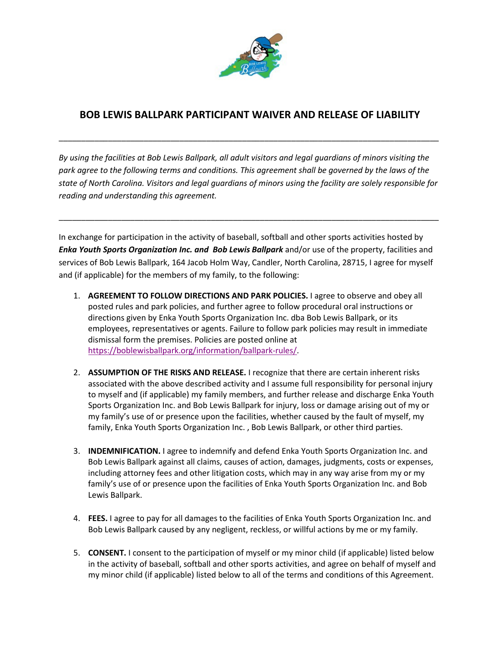

## **BOB LEWIS BALLPARK PARTICIPANT WAIVER AND RELEASE OF LIABILITY**

\_\_\_\_\_\_\_\_\_\_\_\_\_\_\_\_\_\_\_\_\_\_\_\_\_\_\_\_\_\_\_\_\_\_\_\_\_\_\_\_\_\_\_\_\_\_\_\_\_\_\_\_\_\_\_\_\_\_\_\_\_\_\_\_\_\_\_\_\_\_\_\_\_\_\_\_\_\_\_\_\_\_\_\_\_

*By using the facilities at Bob Lewis Ballpark, all adult visitors and legal guardians of minors visiting the park agree to the following terms and conditions. This agreement shall be governed by the laws of the state of North Carolina. Visitors and legal guardians of minors using the facility are solely responsible for reading and understanding this agreement.* 

\_\_\_\_\_\_\_\_\_\_\_\_\_\_\_\_\_\_\_\_\_\_\_\_\_\_\_\_\_\_\_\_\_\_\_\_\_\_\_\_\_\_\_\_\_\_\_\_\_\_\_\_\_\_\_\_\_\_\_\_\_\_\_\_\_\_\_\_\_\_\_\_\_\_\_\_\_\_\_\_\_\_\_\_\_

In exchange for participation in the activity of baseball, softball and other sports activities hosted by *Enka Youth Sports Organization Inc. and Bob Lewis Ballpark* and/or use of the property, facilities and services of Bob Lewis Ballpark, 164 Jacob Holm Way, Candler, North Carolina, 28715, I agree for myself and (if applicable) for the members of my family, to the following:

- 1. **AGREEMENT TO FOLLOW DIRECTIONS AND PARK POLICIES.** I agree to observe and obey all posted rules and park policies, and further agree to follow procedural oral instructions or directions given by Enka Youth Sports Organization Inc. dba Bob Lewis Ballpark, or its employees, representatives or agents. Failure to follow park policies may result in immediate dismissal form the premises. Policies are posted online at [https://boblewisballpark.org/information/ballpark-rules/.](https://boblewisballpark.org/information/ballpark-rules/)
- 2. **ASSUMPTION OF THE RISKS AND RELEASE.** I recognize that there are certain inherent risks associated with the above described activity and I assume full responsibility for personal injury to myself and (if applicable) my family members, and further release and discharge Enka Youth Sports Organization Inc. and Bob Lewis Ballpark for injury, loss or damage arising out of my or my family's use of or presence upon the facilities, whether caused by the fault of myself, my family, Enka Youth Sports Organization Inc. , Bob Lewis Ballpark, or other third parties.
- 3. **INDEMNIFICATION.** I agree to indemnify and defend Enka Youth Sports Organization Inc. and Bob Lewis Ballpark against all claims, causes of action, damages, judgments, costs or expenses, including attorney fees and other litigation costs, which may in any way arise from my or my family's use of or presence upon the facilities of Enka Youth Sports Organization Inc. and Bob Lewis Ballpark.
- 4. **FEES.** I agree to pay for all damages to the facilities of Enka Youth Sports Organization Inc. and Bob Lewis Ballpark caused by any negligent, reckless, or willful actions by me or my family.
- 5. **CONSENT.** I consent to the participation of myself or my minor child (if applicable) listed below in the activity of baseball, softball and other sports activities, and agree on behalf of myself and my minor child (if applicable) listed below to all of the terms and conditions of this Agreement.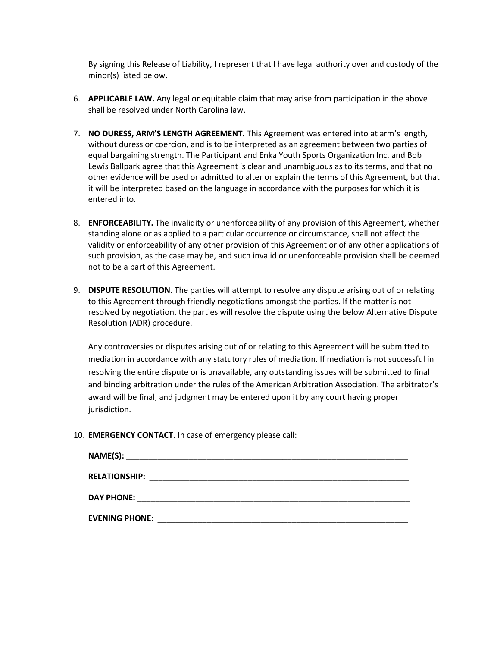By signing this Release of Liability, I represent that I have legal authority over and custody of the minor(s) listed below.

- 6. **APPLICABLE LAW.** Any legal or equitable claim that may arise from participation in the above shall be resolved under North Carolina law.
- 7. **NO DURESS, ARM'S LENGTH AGREEMENT.** This Agreement was entered into at arm's length, without duress or coercion, and is to be interpreted as an agreement between two parties of equal bargaining strength. The Participant and Enka Youth Sports Organization Inc. and Bob Lewis Ballpark agree that this Agreement is clear and unambiguous as to its terms, and that no other evidence will be used or admitted to alter or explain the terms of this Agreement, but that it will be interpreted based on the language in accordance with the purposes for which it is entered into.
- 8. **ENFORCEABILITY.** The invalidity or unenforceability of any provision of this Agreement, whether standing alone or as applied to a particular occurrence or circumstance, shall not affect the validity or enforceability of any other provision of this Agreement or of any other applications of such provision, as the case may be, and such invalid or unenforceable provision shall be deemed not to be a part of this Agreement.
- 9. **DISPUTE RESOLUTION**. The parties will attempt to resolve any dispute arising out of or relating to this Agreement through friendly negotiations amongst the parties. If the matter is not resolved by negotiation, the parties will resolve the dispute using the below Alternative Dispute Resolution (ADR) procedure.

Any controversies or disputes arising out of or relating to this Agreement will be submitted to mediation in accordance with any statutory rules of mediation. If mediation is not successful in resolving the entire dispute or is unavailable, any outstanding issues will be submitted to final and binding arbitration under the rules of the American Arbitration Association. The arbitrator's award will be final, and judgment may be entered upon it by any court having proper jurisdiction.

10. **EMERGENCY CONTACT.** In case of emergency please call:

| <b>RELATIONSHIP:</b>  | <u> 1980 - John Stein, Amerikaansk politik fan de Amerikaansk kommunister (</u> |  |
|-----------------------|---------------------------------------------------------------------------------|--|
| <b>DAY PHONE:</b>     |                                                                                 |  |
| <b>EVENING PHONE:</b> |                                                                                 |  |